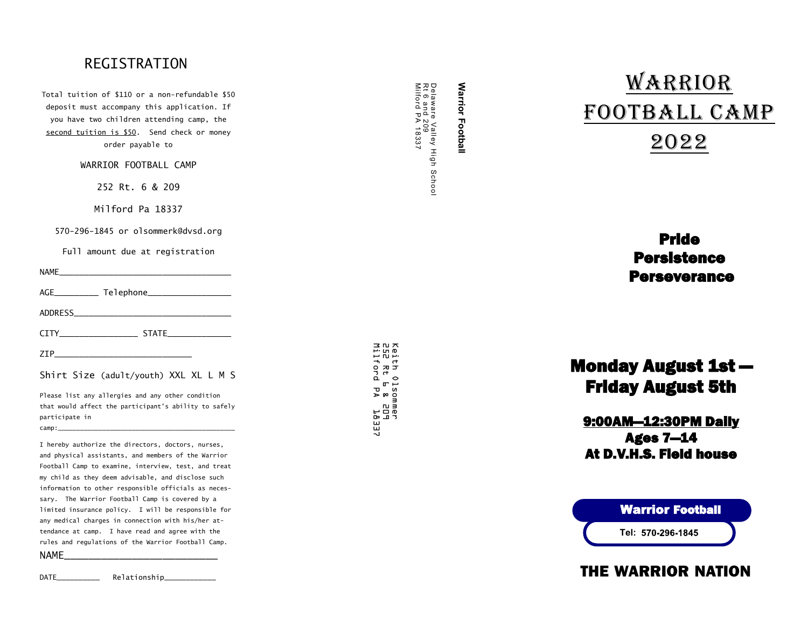## REGISTRATION

Total tuition of \$110 or a non -refundable \$50 deposit must accompany this application. If you have two children attending camp, the second tuition is \$50. Send check or money order payable to

WARRIOR FOOTBALL CAMP

252 Rt. 6 & 209

Milford Pa 18337

570 -296 -1845 or olsommerk@dvsd.org

Full amount due at registration

NAME\_\_\_\_\_\_\_\_\_\_\_\_\_\_\_\_\_\_\_\_\_\_\_\_\_\_\_\_\_\_\_\_\_\_\_

| AGE | Telephone_ |
|-----|------------|
|     |            |

ADDRESS\_\_\_\_\_\_\_\_\_\_\_\_\_\_\_\_\_\_\_\_\_\_\_\_\_\_\_\_\_\_\_\_

| CTTY | . |
|------|---|

 $\mathsf{ZIP}\_\_$ 

Shirt Size (adult/youth) XXL XL L M S

Please list any allergies and any other condition that would affect the participant's ability to safely participate in  $camp:$ 

I hereby authorize the directors, doctors, nurses, and physical assistants, and members of the Warrior Football Camp to examine, interview, test, and treat my child as they deem advisable, and disclose such information to other responsible officials as necessary. The Warrior Football Camp is covered by a limited insurance policy. I will be responsible for any medical charges in connection with his/her attendance at camp. I have read and agree with the rules and regulations of the Warrior Football Camp.

NAME\_\_\_\_\_\_\_\_\_\_\_\_\_\_\_\_\_\_\_\_\_\_\_\_\_

DATE\_\_\_\_\_\_\_\_\_\_\_\_\_\_ Relationship\_\_\_\_\_\_\_\_\_\_\_\_\_\_

Delaware Valley High<br>Rt 6 and 209<br>Milford PA 18337 Milford PA 18337 Rt 6 and 209 Delaware Valley High School Schoo

**Warrior Football** 

**Warrior Football** 

# Warrior Football Camp 2022

## Pride **Persistence Perseverance**

## Monday August 1st — Friday August 5th

## 9:00AM—12:30PM Daily Ages 7—14 At D.V.H.S. Field house



Warrior Football

## THE WARRIOR NATION

포 만 있<br>마 만 만<br>마 만 만 Milford PA 18337 252 Rt 6 & 209 Keith Olsommer ith 01somme<br>2 Rt L & 21<br>1ford PA <sup>-</sup> ner<br>POS<br>POS